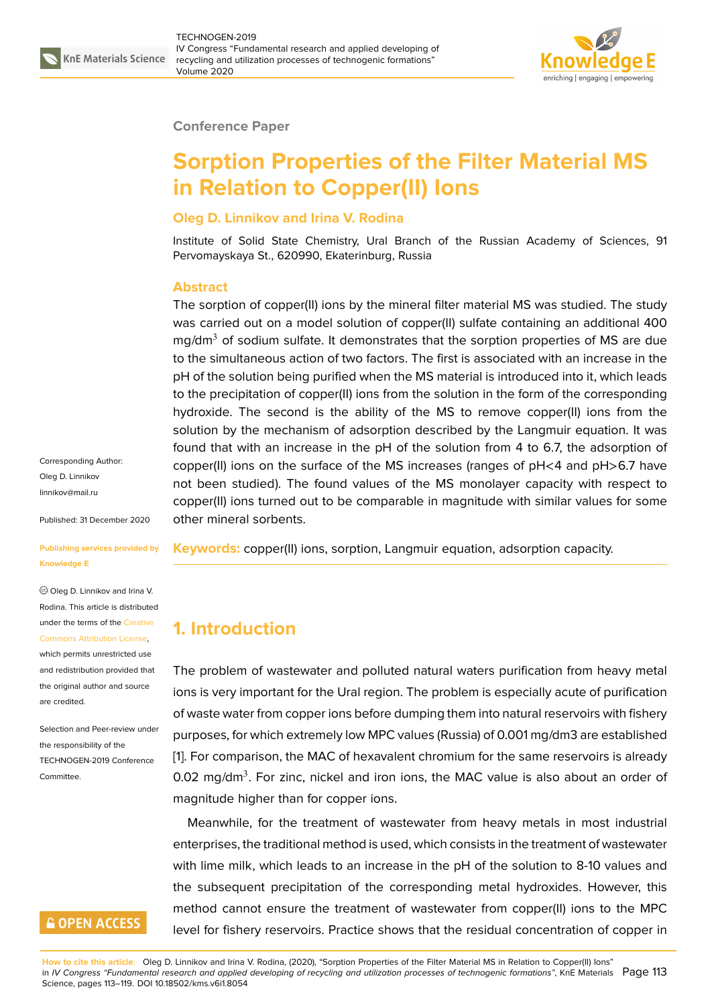

#### **Conference Paper**

# **Sorption Properties of the Filter Material MS in Relation to Copper(II) Ions**

### **Oleg D. Linnikov and Irina V. Rodina**

Institute of Solid State Chemistry, Ural Branch of the Russian Academy of Sciences, 91 Pervomayskaya St., 620990, Ekaterinburg, Russia

### **Abstract**

The sorption of copper(II) ions by the mineral filter material MS was studied. The study was carried out on a model solution of copper(II) sulfate containing an additional 400 mg/dm $3$  of sodium sulfate. It demonstrates that the sorption properties of MS are due to the simultaneous action of two factors. The first is associated with an increase in the pH of the solution being purified when the MS material is introduced into it, which leads to the precipitation of copper(II) ions from the solution in the form of the corresponding hydroxide. The second is the ability of the MS to remove copper(II) ions from the solution by the mechanism of adsorption described by the Langmuir equation. It was found that with an increase in the pH of the solution from 4 to 6.7, the adsorption of copper(II) ions on the surface of the MS increases (ranges of pH<4 and pH>6.7 have not been studied). The found values of the MS monolayer capacity with respect to copper(II) ions turned out to be comparable in magnitude with similar values for some other mineral sorbents.

**Keywords:** copper(II) ions, sorption, Langmuir equation, adsorption capacity.

# **1. Introduction**

The problem of wastewater and polluted natural waters purification from heavy metal ions is very important for the Ural region. The problem is especially acute of purification of waste water from copper ions before dumping them into natural reservoirs with fishery purposes, for which extremely low MPC values (Russia) of 0.001 mg/dm3 are established [1]. For comparison, the MAC of hexavalent chromium for the same reservoirs is already 0.02 mg/dm<sup>3</sup>. For zinc, nickel and iron ions, the MAC value is also about an order of magnitude higher than for copper ions.

Meanwhile, for the treatment of wastewater from heavy metals in most industrial enterprises, the traditional method is used, which consists in the treatment of wastewater with lime milk, which leads to an increase in the pH of the solution to 8-10 values and the subsequent precipitation of the corresponding metal hydroxides. However, this method cannot ensure the treatment of wastewater from copper(II) ions to the MPC level for fishery reservoirs. Practice shows that the residual concentration of copper in

**How to cite this article**: Oleg D. Linnikov and Irina V. Rodina, (2020), "Sorption Properties of the Filter Material MS in Relation to Copper(II) Ions" in *IV Congress "Fundamental research and applied developing of recycling and utilization processes of technogenic formations"*, KnE Materials Page 113 Science, pages 113–119. DOI 10.18502/kms.v6i1.8054

Corresponding Author: Oleg D. Linnikov linnikov@mail.ru

Published: 31 December 2020

#### **[Publishing servi](mailto:linnikov@mail.ru)ces provided by Knowledge E**

Oleg D. Linnikov and Irina V. Rodina. This article is distributed under the terms of the Creative Commons Attribution License,

which permits unrestricted use and redistribution provided that the original author and [source](https://creativecommons.org/licenses/by/4.0/) [are credited.](https://creativecommons.org/licenses/by/4.0/)

Selection and Peer-review under the responsibility of the TECHNOGEN-2019 Conference Committee.

# **GOPEN ACCESS**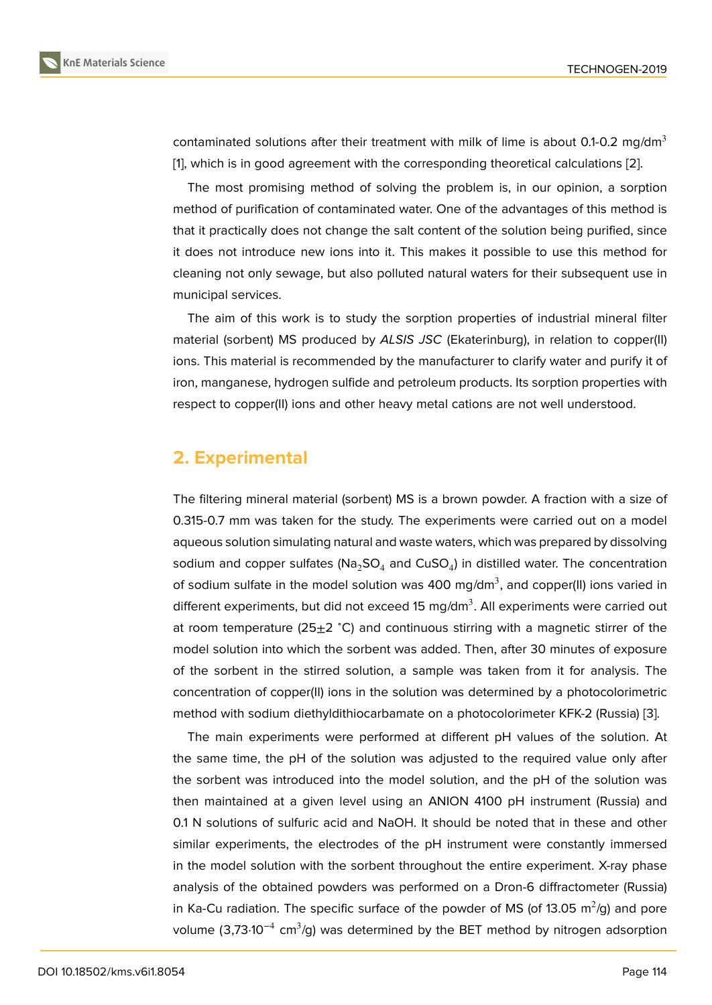contaminated solutions after their treatment with milk of lime is about 0.1-0.2 mg/dm<sup>3</sup> [1], which is in good agreement with the corresponding theoretical calculations [2].

The most promising method of solving the problem is, in our opinion, a sorption method of purification of contaminated water. One of the advantages of this method is [th](#page-6-0)at it practically does not change the salt content of the solution being purifie[d,](#page-6-1) since it does not introduce new ions into it. This makes it possible to use this method for cleaning not only sewage, but also polluted natural waters for their subsequent use in municipal services.

The aim of this work is to study the sorption properties of industrial mineral filter material (sorbent) MS produced by *ALSIS JSC* (Ekaterinburg), in relation to copper(II) ions. This material is recommended by the manufacturer to clarify water and purify it of iron, manganese, hydrogen sulfide and petroleum products. Its sorption properties with respect to copper(II) ions and other heavy metal cations are not well understood.

### **2. Experimental**

The filtering mineral material (sorbent) MS is a brown powder. A fraction with a size of 0.315-0.7 mm was taken for the study. The experiments were carried out on a model aqueous solution simulating natural and waste waters, which was prepared by dissolving sodium and copper sulfates (Na<sub>2</sub>SO<sub>4</sub> and CuSO<sub>4</sub>) in distilled water. The concentration of sodium sulfate in the model solution was 400 mg/dm<sup>3</sup>, and copper(II) ions varied in different experiments, but did not exceed 15 mg/dm<sup>3</sup>. All experiments were carried out at room temperature (25±2 °C) and continuous stirring with a magnetic stirrer of the model solution into which the sorbent was added. Then, after 30 minutes of exposure of the sorbent in the stirred solution, a sample was taken from it for analysis. The concentration of copper(II) ions in the solution was determined by a photocolorimetric method with sodium diethyldithiocarbamate on a photocolorimeter KFK-2 (Russia) [3].

The main experiments were performed at different pH values of the solution. At the same time, the pH of the solution was adjusted to the required value only after the sorbent was introduced into the model solution, and the pH of the solution [w](#page-6-2)as then maintained at a given level using an ANION 4100 pH instrument (Russia) and 0.1 N solutions of sulfuric acid and NaOH. It should be noted that in these and other similar experiments, the electrodes of the pH instrument were constantly immersed in the model solution with the sorbent throughout the entire experiment. X-ray phase analysis of the obtained powders was performed on a Dron-6 diffractometer (Russia) in Ka-Cu radiation. The specific surface of the powder of MS (of 13.05  $\mathrm{m}^2/\mathrm{g})$  and pore volume (3,73⋅10<sup>-4</sup> cm<sup>3</sup>/g) was determined by the BET method by nitrogen adsorption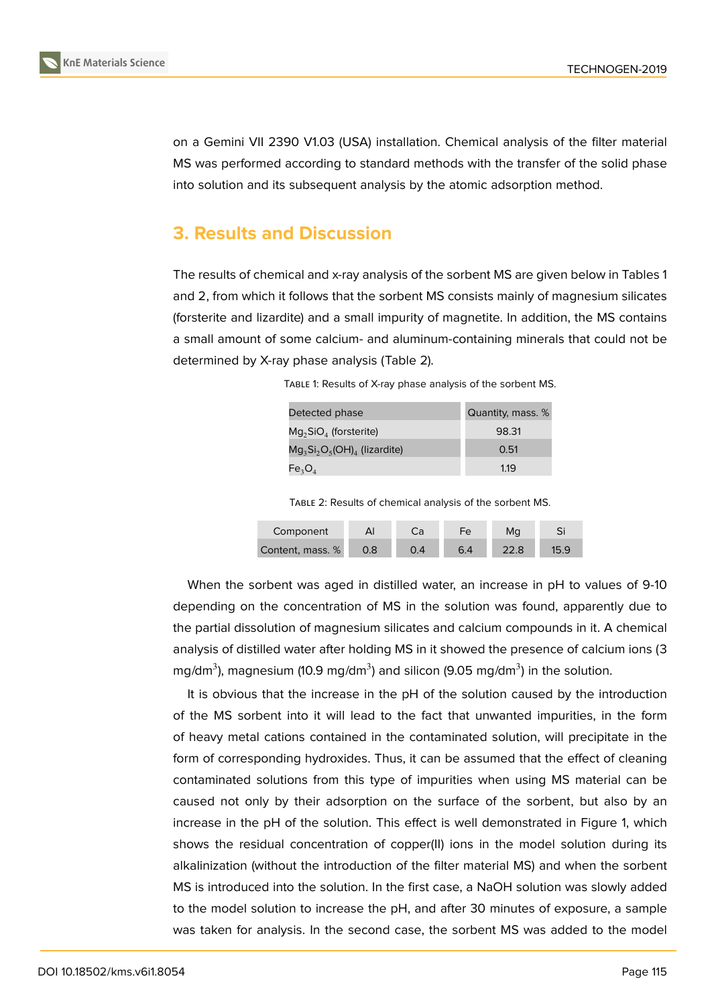on a Gemini VII 2390 V1.03 (USA) installation. Chemical analysis of the filter material MS was performed according to standard methods with the transfer of the solid phase into solution and its subsequent analysis by the atomic adsorption method.

## **3. Results and Discussion**

The results of chemical and x-ray analysis of the sorbent MS are given below in Tables 1 and 2, from which it follows that the sorbent MS consists mainly of magnesium silicates (forsterite and lizardite) and a small impurity of magnetite. In addition, the MS contains a small amount of some calcium- and aluminum-containing minerals that could not be determined by X-ray phase analysis (Table 2).

| Detected phase                  | Quantity, mass. % |
|---------------------------------|-------------------|
| $Mg2SiO4$ (forsterite)          | 98.31             |
| $Mg_3Si_2O_5(OH)_4$ (lizardite) | 0.51              |
| $Fe_{3}O_{4}$                   | 1.19              |

TABLE 1: Results of X-ray phase analysis of the sorbent MS.

TABLE 2: Results of chemical analysis of the sorbent MS.

| Component        | Al  | Ca | Fe  | Ma   |  |
|------------------|-----|----|-----|------|--|
| Content, mass. % | 0.8 |    | 6.4 | 22.8 |  |

When the sorbent was aged in distilled water, an increase in pH to values of 9-10 depending on the concentration of MS in the solution was found, apparently due to the partial dissolution of magnesium silicates and calcium compounds in it. A chemical analysis of distilled water after holding MS in it showed the presence of calcium ions (3 mg/dm $^3$ ), magnesium (10.9 mg/dm $^3$ ) and silicon (9.05 mg/dm $^3$ ) in the solution.

It is obvious that the increase in the pH of the solution caused by the introduction of the MS sorbent into it will lead to the fact that unwanted impurities, in the form of heavy metal cations contained in the contaminated solution, will precipitate in the form of corresponding hydroxides. Thus, it can be assumed that the effect of cleaning contaminated solutions from this type of impurities when using MS material can be caused not only by their adsorption on the surface of the sorbent, but also by an increase in the pH of the solution. This effect is well demonstrated in Figure 1, which shows the residual concentration of copper(II) ions in the model solution during its alkalinization (without the introduction of the filter material MS) and when the sorbent MS is introduced into the solution. In the first case, a NaOH solution was slowl[y](#page-3-0) added to the model solution to increase the pH, and after 30 minutes of exposure, a sample was taken for analysis. In the second case, the sorbent MS was added to the model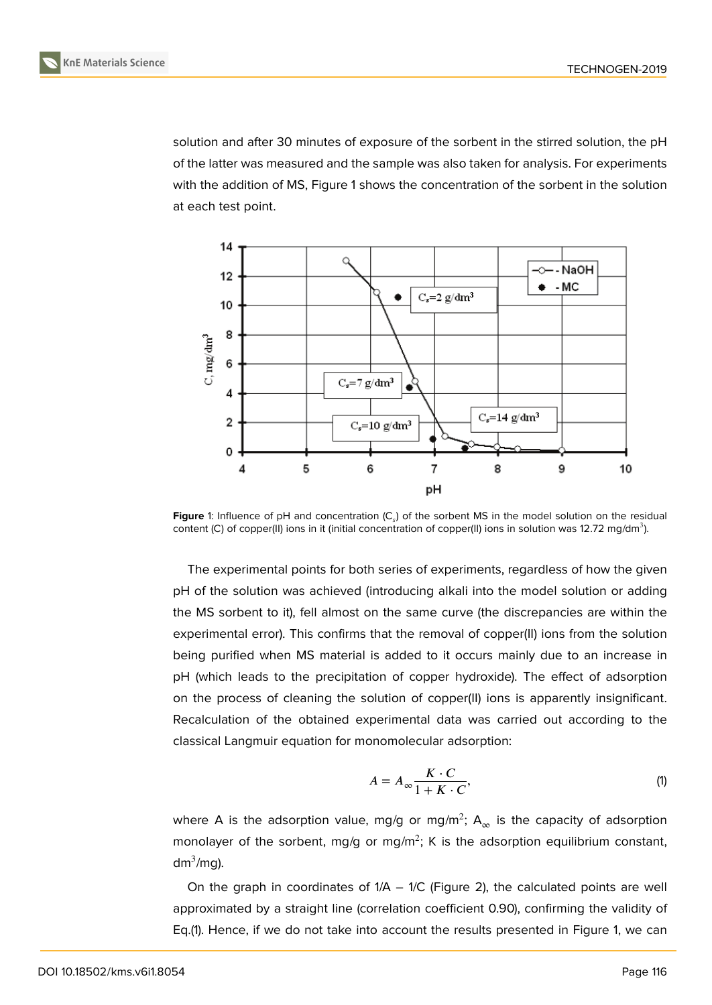solution and after 30 minutes of exposure of the sorbent in the stirred solution, the pH of the latter was measured and the sample was also taken for analysis. For experiments with the addition of MS, Figure 1 shows the concentration of the sorbent in the solution at each test point.



Figure 1: Influence of pH and concentration (C<sub>s</sub>) of the sorbent MS in the model solution on the residual content (C) of copper(II) ions in it (initial concentration of copper(II) ions in solution was 12.72 mg/dm<sup>3</sup>).

<span id="page-3-0"></span>The experimental points for both series of experiments, regardless of how the given pH of the solution was achieved (introducing alkali into the model solution or adding the MS sorbent to it), fell almost on the same curve (the discrepancies are within the experimental error). This confirms that the removal of copper(II) ions from the solution being purified when MS material is added to it occurs mainly due to an increase in pH (which leads to the precipitation of copper hydroxide). The effect of adsorption on the process of cleaning the solution of copper(II) ions is apparently insignificant. Recalculation of the obtained experimental data was carried out according to the classical Langmuir equation for monomolecular adsorption:

$$
A = A_{\infty} \frac{K \cdot C}{1 + K \cdot C},\tag{1}
$$

where **A** is the adsorption value, mg/g or mg/m<sup>2</sup>;  $\mathsf{A}_\infty$  is the capacity of adsorption monolayer of the sorbent, mg/g or mg/m<sup>2</sup>; K is the adsorption equilibrium constant, dm $3/mg$ ).

On the graph in coordinates of  $1/A - 1/C$  (Figure 2), the calculated points are well approximated by a straight line (correlation coefficient 0.90), confirming the validity of Eq.(1). Hence, if we do not take into account the results presented in Figure 1, we can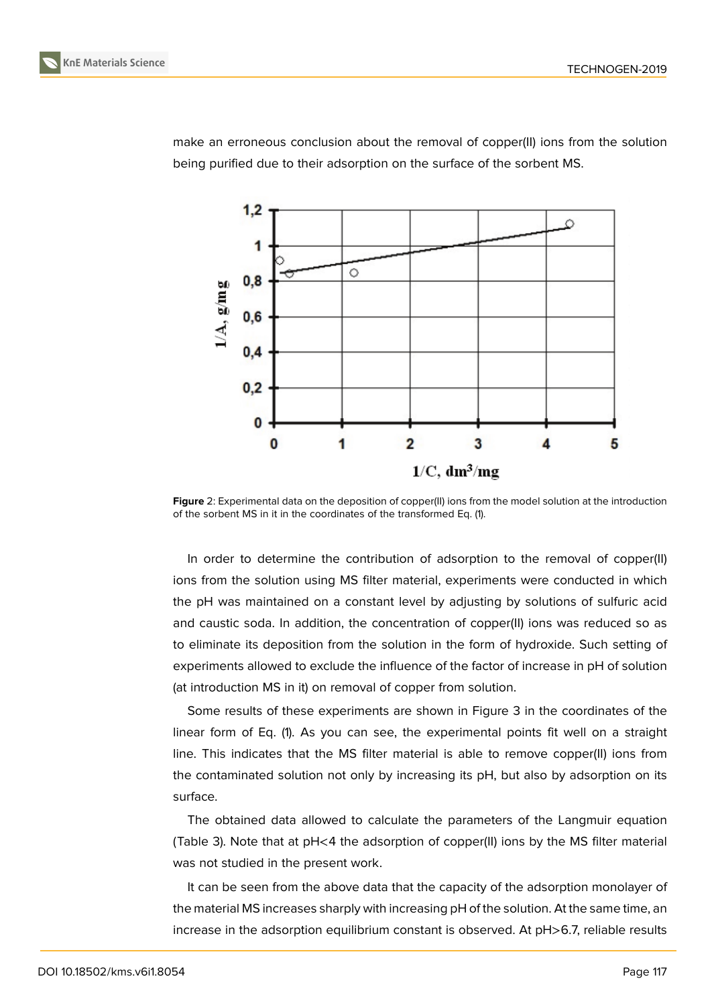

make an erroneous conclusion about the removal of copper(II) ions from the solution being purified due to their adsorption on the surface of the sorbent MS.

**Figure** 2: Experimental data on the deposition of copper(II) ions from the model solution at the introduction of the sorbent MS in it in the coordinates of the transformed Eq. (1).

In order to determine the contribution of adsorption to the removal of copper(II) ions from the solution using MS filter material, experiments were conducted in which the pH was maintained on a constant level by adjusting by solutions of sulfuric acid and caustic soda. In addition, the concentration of copper(II) ions was reduced so as to eliminate its deposition from the solution in the form of hydroxide. Such setting of experiments allowed to exclude the influence of the factor of increase in pH of solution (at introduction MS in it) on removal of copper from solution.

Some results of these experiments are shown in Figure 3 in the coordinates of the linear form of Eq. (1). As you can see, the experimental points fit well on a straight line. This indicates that the MS filter material is able to remove copper(II) ions from the contaminated solution not only by increasing its pH, b[ut](#page-5-0) also by adsorption on its surface.

The obtained data allowed to calculate the parameters of the Langmuir equation (Table 3). Note that at pH<4 the adsorption of copper(II) ions by the MS filter material was not studied in the present work.

It can be seen from the above data that the capacity of the adsorption monolayer of the material MS increases sharply with increasing pH of the solution. At the same time, an increase in the adsorption equilibrium constant is observed. At pH>6.7, reliable results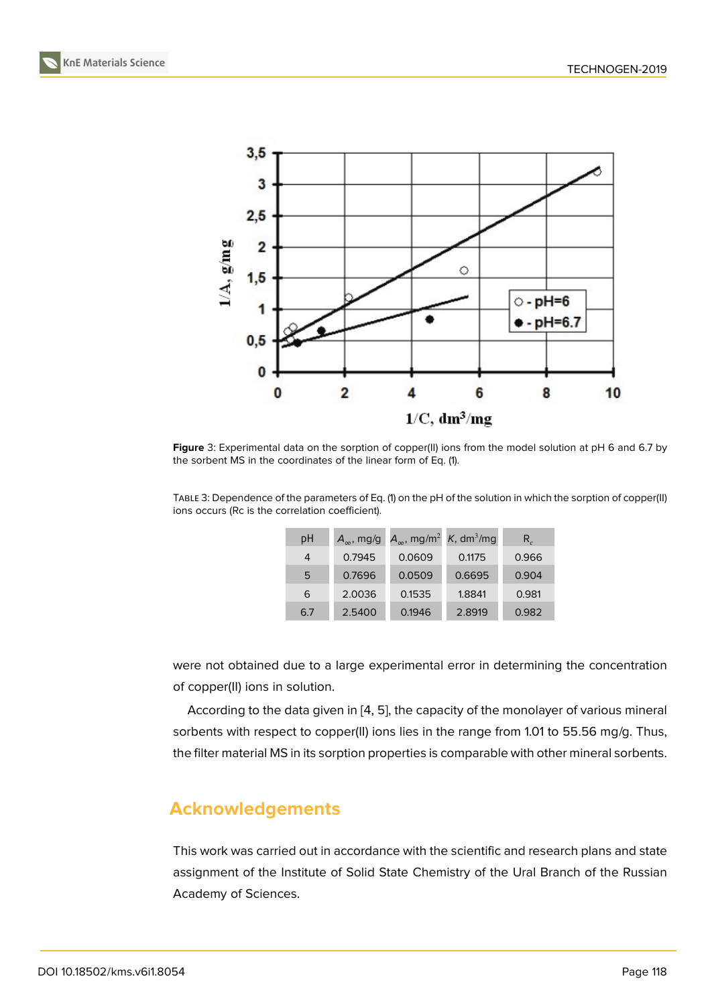

**Figure** 3: Experimental data on the sorption of copper(II) ions from the model solution at pH 6 and 6.7 by the sorbent MS in the coordinates of the linear form of Eq. (1).

<span id="page-5-0"></span>TABLE 3: Dependence of the parameters of Eq. (1) on the pH of the solution in which the sorption of copper(II) ions occurs (Rc is the correlation coefficient).

| рH  | $A_{\infty}$ , mg/g | $A_{\infty}$ , mg/m <sup>2</sup> | K, dm <sup>3</sup> /mg | $R_{c}$ |
|-----|---------------------|----------------------------------|------------------------|---------|
| 4   | 0.7945              | 0.0609                           | 0.1175                 | 0.966   |
| 5   | 0.7696              | 0.0509                           | 0.6695                 | 0.904   |
| 6   | 2.0036              | 0.1535                           | 1.8841                 | 0.981   |
| 6.7 | 2.5400              | 0.1946                           | 2.8919                 | 0.982   |

were not obtained due to a large experimental error in determining the concentration of copper(II) ions in solution.

According to the data given in [4, 5], the capacity of the monolayer of various mineral sorbents with respect to copper(II) ions lies in the range from 1.01 to 55.56 mg/g. Thus, the filter material MS in its sorption properties is comparable with other mineral sorbents.

## **Acknowledgements**

This work was carried out in accordance with the scientific and research plans and state assignment of the Institute of Solid State Chemistry of the Ural Branch of the Russian Academy of Sciences.